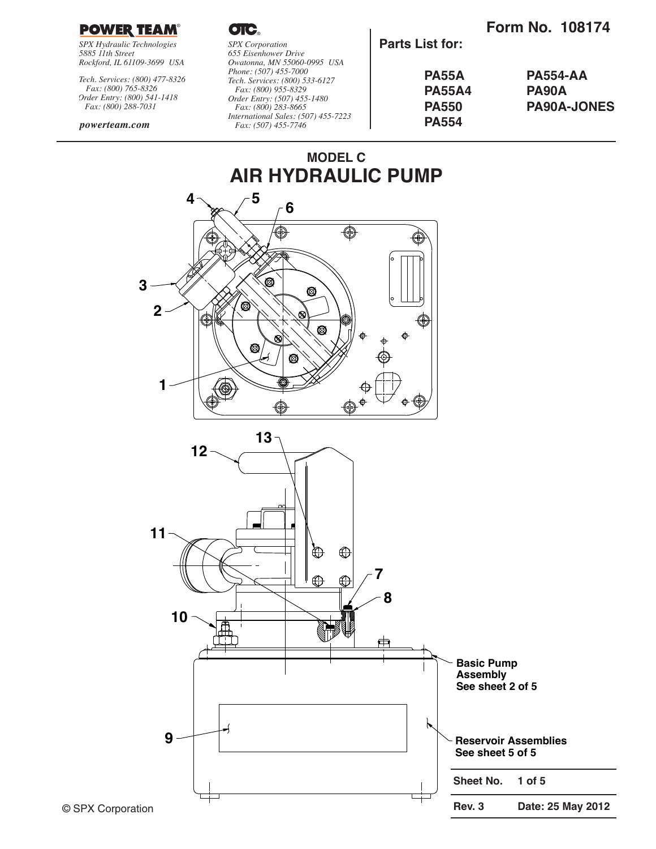### **Form No. 108174**



*SPX Hydraulic Technologies 5885 11th Street Rockford, IL 61109-3699 USA*

*Tech. Services: (800) 477-8326 Fax: (800) 765-8326 Order Entry: (800) 541-1418 Fax: (800) 288-7031*

#### *powerteam.com*

OIC.

*SPX Corporation 655 Eisenhower Drive Owatonna, MN 55060-0995 USA Phone: (507) 455-7000 Tech. Services: (800) 533-6127 Fax: (800) 955-8329 Order Entry: (507) 455-1480 Fax: (800) 283-8665 International Sales: (507) 455-7223 Fax: (507) 455-7746*

**Parts List for:**

| <b>PA55A</b>  | <b>PA554-AA</b>    |
|---------------|--------------------|
| <b>PA55A4</b> | <b>PA90A</b>       |
| <b>PA550</b>  | <b>PA90A-JONES</b> |
| <b>PA554</b>  |                    |

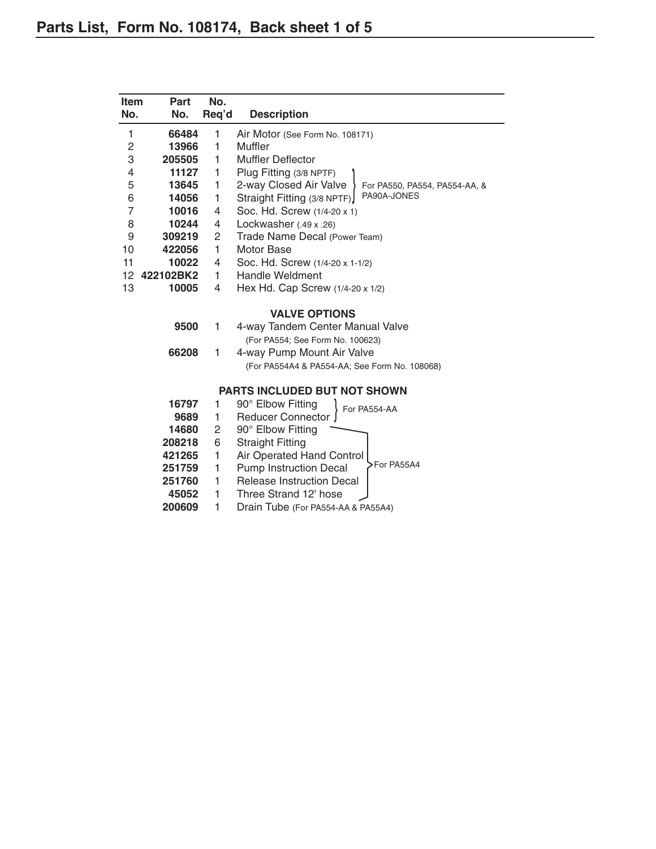| Item<br>No.             | Part<br>No.  | No.<br>Req'd   | <b>Description</b>                                      |
|-------------------------|--------------|----------------|---------------------------------------------------------|
| 1                       | 66484        | 1              | Air Motor (See Form No. 108171)                         |
| $\overline{\mathbf{c}}$ | 13966        | 1              | Muffler                                                 |
| 3                       | 205505       | 1              | <b>Muffler Deflector</b>                                |
| 4                       | 11127        | 1              | Plug Fitting (3/8 NPTF)                                 |
| 5                       | 13645        | 1              | 2-way Closed Air Valve<br>For PA550, PA554, PA554-AA, & |
| 6                       | 14056        | 1              | PA90A-JONES<br>Straight Fitting (3/8 NPTF)              |
| 7                       | 10016        | 4              | Soc. Hd. Screw (1/4-20 x 1)                             |
| 8                       | 10244        | 4              | Lockwasher $(.49 \times .26)$                           |
| $\boldsymbol{9}$        | 309219       | $\overline{c}$ | Trade Name Decal (Power Team)                           |
| 10                      | 422056       | 1              | <b>Motor Base</b>                                       |
| 11                      | 10022        | 4              | Soc. Hd. Screw (1/4-20 x 1-1/2)                         |
|                         | 12 422102BK2 | $\mathbf{1}$   | <b>Handle Weldment</b>                                  |
| 13                      | 10005        | 4              | Hex Hd. Cap Screw (1/4-20 x 1/2)                        |
|                         |              |                | <b>VALVE OPTIONS</b>                                    |
|                         | 9500         | 1              | 4-way Tandem Center Manual Valve                        |
|                         |              |                | (For PA554; See Form No. 100623)                        |
|                         | 66208        | 1              | 4-way Pump Mount Air Valve                              |
|                         |              |                | (For PA554A4 & PA554-AA; See Form No. 108068)           |
|                         |              |                | <b>PARTS INCLUDED BUT NOT SHOWN</b>                     |
|                         | 16797        | 1              | 90° Elbow Fitting<br>For PA554-AA                       |
|                         | 9689         | 1              | <b>Reducer Connector</b>                                |
|                         | 14680        | 2              | 90° Elbow Fitting                                       |
|                         | 208218       | 6              | <b>Straight Fitting</b>                                 |
|                         | 421265       | 1              | Air Operated Hand Control                               |
|                         | 251759       | 1              | >For PA55A4<br><b>Pump Instruction Decal</b>            |
|                         | 251760       | 1              | <b>Release Instruction Decal</b>                        |
|                         | 45052        | 1              | Three Strand 12' hose                                   |
|                         | 200609       | 1              | Drain Tube (For PA554-AA & PA55A4)                      |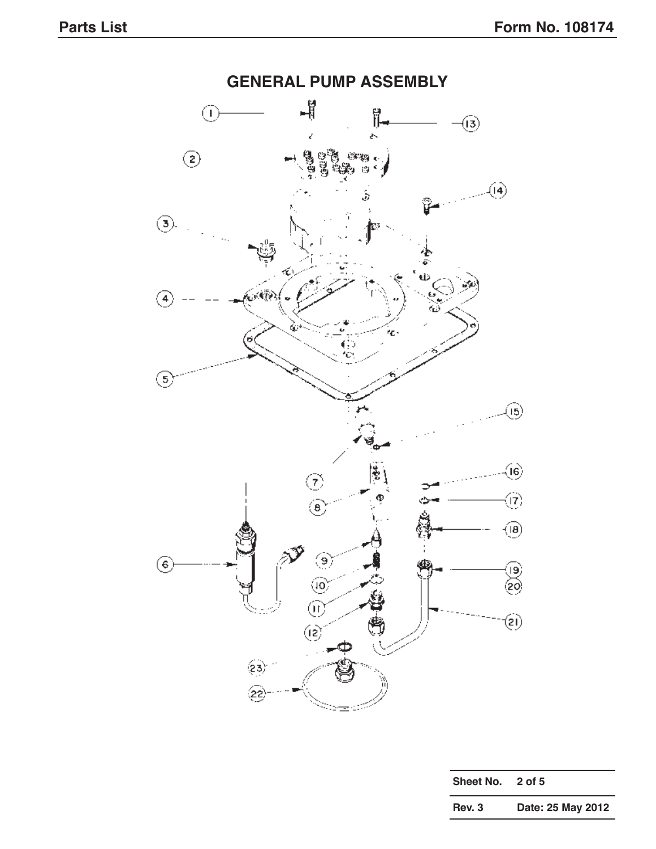

| Sheet No. | 2 of 5            |
|-----------|-------------------|
| Rev. 3    | Date: 25 May 2012 |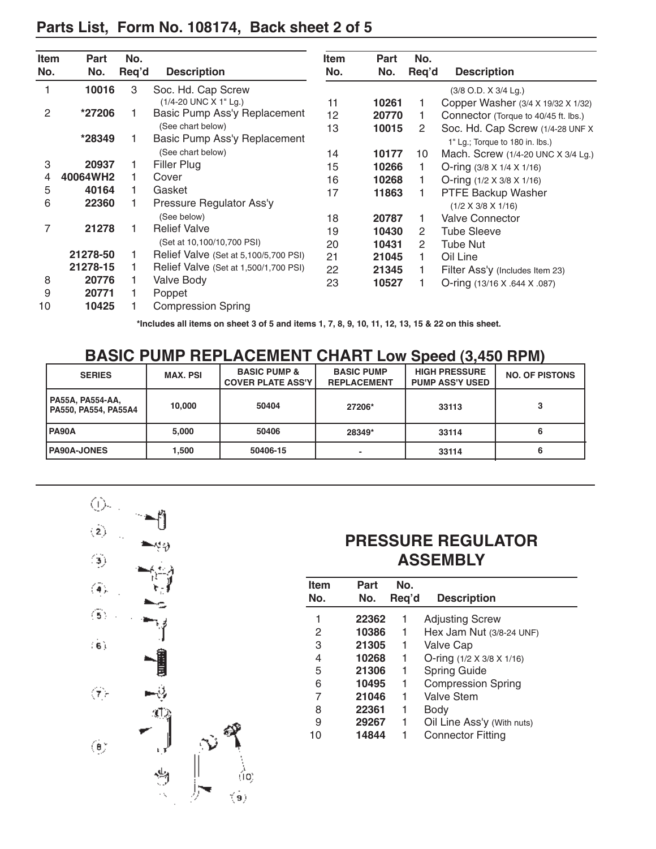| <b>Item</b> | Part     | No.   |                                       | <b>Item</b> | Part  | No.                   |                                       |
|-------------|----------|-------|---------------------------------------|-------------|-------|-----------------------|---------------------------------------|
| No.         | No.      | Req'd | <b>Description</b>                    | No.         | No.   | Req'd                 | <b>Description</b>                    |
|             | 10016    | 3     | Soc. Hd. Cap Screw                    |             |       |                       | $(3/8$ O.D. $X$ 3/4 Lg.)              |
|             |          |       | (1/4-20 UNC X 1" Lg.)                 | 11          | 10261 |                       | Copper Washer (3/4 X 19/32 X 1/32)    |
| 2           | *27206   |       | Basic Pump Ass'y Replacement          | 12          | 20770 |                       | Connector (Torque to 40/45 ft. lbs.)  |
|             |          |       | (See chart below)                     | 13          | 10015 | 2                     | Soc. Hd. Cap Screw (1/4-28 UNF X)     |
|             | *28349   |       | Basic Pump Ass'y Replacement          |             |       |                       | 1" Lg.; Torque to 180 in. lbs.)       |
|             |          |       | (See chart below)                     | 14          | 10177 | 10                    | Mach. Screw (1/4-20 UNC X 3/4 Lg.)    |
| 3           | 20937    |       | Filler Plug                           | 15          | 10266 | 1                     | O-ring $(3/8 \times 1/4 \times 1/16)$ |
| 4           | 40064WH2 |       | Cover                                 | 16          | 10268 |                       | O-ring $(1/2 \times 3/8 \times 1/16)$ |
| 5           | 40164    |       | Gasket                                | 17          | 11863 |                       | PTFE Backup Washer                    |
| 6           | 22360    |       | Pressure Regulator Ass'y              |             |       |                       | $(1/2 \times 3/8 \times 1/16)$        |
|             |          |       | (See below)                           | 18          | 20787 | 1                     | <b>Valve Connector</b>                |
| 7           | 21278    |       | <b>Relief Valve</b>                   | 19          | 10430 | $\mathbf{2}^{\prime}$ | <b>Tube Sleeve</b>                    |
|             |          |       | (Set at 10,100/10,700 PSI)            | 20          | 10431 | 2                     | Tube Nut                              |
|             | 21278-50 |       | Relief Valve (Set at 5,100/5,700 PSI) | 21          | 21045 | 1                     | Oil Line                              |
|             | 21278-15 |       | Relief Valve (Set at 1,500/1,700 PSI) | 22          | 21345 |                       | Filter Ass'y (Includes Item 23)       |
| 8           | 20776    |       | Valve Body                            | 23          | 10527 |                       | O-ring (13/16 X .644 X .087)          |
| 9           | 20771    |       | Poppet                                |             |       |                       |                                       |
| 10          | 10425    |       | <b>Compression Spring</b>             |             |       |                       |                                       |

**\*Includes all items on sheet 3 of 5 and items 1, 7, 8, 9, 10, 11, 12, 13, 15 & 22 on this sheet.**

### **BASIC PUMP REPLACEMENT CHART Low Speed (3,450 RPM)**

| <b>SERIES</b>                            | <b>MAX. PSI</b> | <b>BASIC PUMP &amp;</b><br><b>COVER PLATE ASS'Y</b> | <b>BASIC PUMP</b><br><b>REPLACEMENT</b> | <b>HIGH PRESSURE</b><br><b>PUMP ASS'Y USED</b> | <b>NO. OF PISTONS</b> |
|------------------------------------------|-----------------|-----------------------------------------------------|-----------------------------------------|------------------------------------------------|-----------------------|
| PA55A, PA554-AA,<br>PA550, PA554, PA55A4 | 10.000          | 50404                                               | 27206*                                  | 33113                                          |                       |
| <b>PA90A</b>                             | 5.000           | 50406                                               | 28349*                                  | 33114                                          |                       |
| <b>PA90A-JONES</b>                       | .500            | 50406-15                                            |                                         | 33114                                          |                       |



# **PRESSURE REGULATOR ASSEMBLY**

| Item<br>No. | Part<br>No. | No.<br>Reg'd | <b>Description</b>                    |
|-------------|-------------|--------------|---------------------------------------|
| 1           | 22362       | 1            | <b>Adjusting Screw</b>                |
| 2           | 10386       | 1            | Hex Jam Nut (3/8-24 UNF)              |
| 3           | 21305       | 1            | <b>Valve Cap</b>                      |
| 4           | 10268       | 1            | O-ring $(1/2 \times 3/8 \times 1/16)$ |
| 5           | 21306       | 1            | <b>Spring Guide</b>                   |
| 6           | 10495       | 1            | <b>Compression Spring</b>             |
| 7           | 21046       | 1            | Valve Stem                            |
| 8           | 22361       | 1            | Body                                  |
| 9           | 29267       | 1            | Oil Line Ass'y (With nuts)            |
| 10          | 14844       | 1            | <b>Connector Fitting</b>              |
|             |             |              |                                       |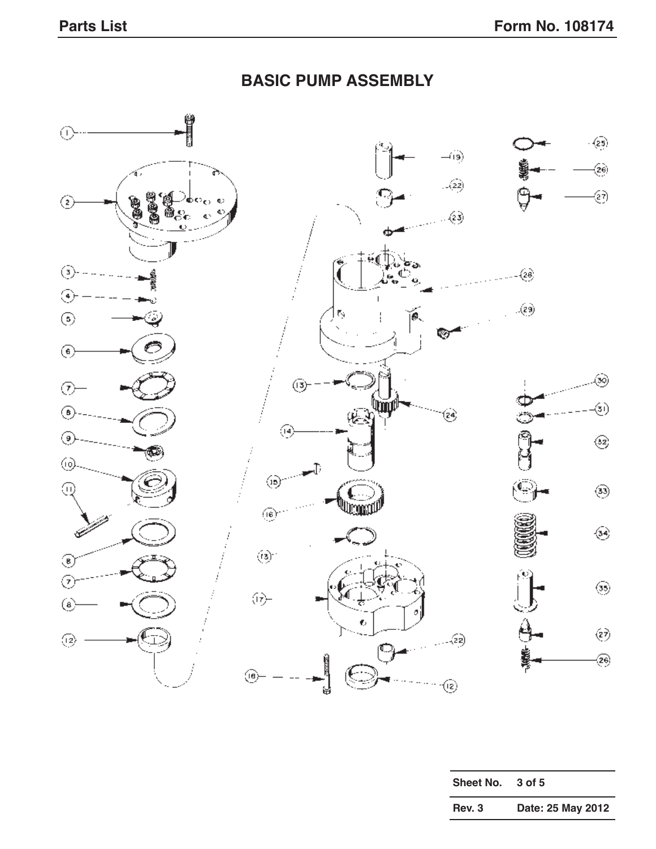#### 0  $\cdot$   $\left($ 25)  $\rightarrow$  $\left(\!\frac{1}{2}\!\right)$  $\mathcal{L}(22)$ ۞ ⓒ  $\langle \hat{z} \hat{z} \rangle$  $\circled{3}$  - - - - - -(28) ⊛  $\langle\hat{z}\hat{y}\rangle$ Ŋ  $\circledS$ íØ. ∞  $\circledast$ - 39  $\circledS$  $\odot$ Ψщ <આં ◉ 'શ્ક્  $\mathbf{r}$  $\left( \begin{matrix} 1 \\ 2 \end{matrix} \right)$ ◉  $\textcircled{\scriptsize{2}}$  $\circledcirc$  $\overline{\mathbb{C}}$  $\circledcirc$  $\odot$  $\widehat{\mathfrak{g}}$  $\circledast$ تن  $\circledS$ ◉  $\odot$ ۞  $\Theta$  $\textcircled{\scriptsize 8}$ ý Ō  $\left(\!\!\left.\!\frac{\partial}{\partial x}\!\!\right.\!\!\right)$  $\textcircled{\scriptsize{12}}$ . . . . (22) ೧ ?⊛ ⊛⊢  $\circledR$ ปู

|  |  | <b>BASIC PUMP ASSEMBLY</b> |
|--|--|----------------------------|
|--|--|----------------------------|

| <b>Sheet No.</b> | 3 of 5            |
|------------------|-------------------|
| Rev. 3           | Date: 25 May 2012 |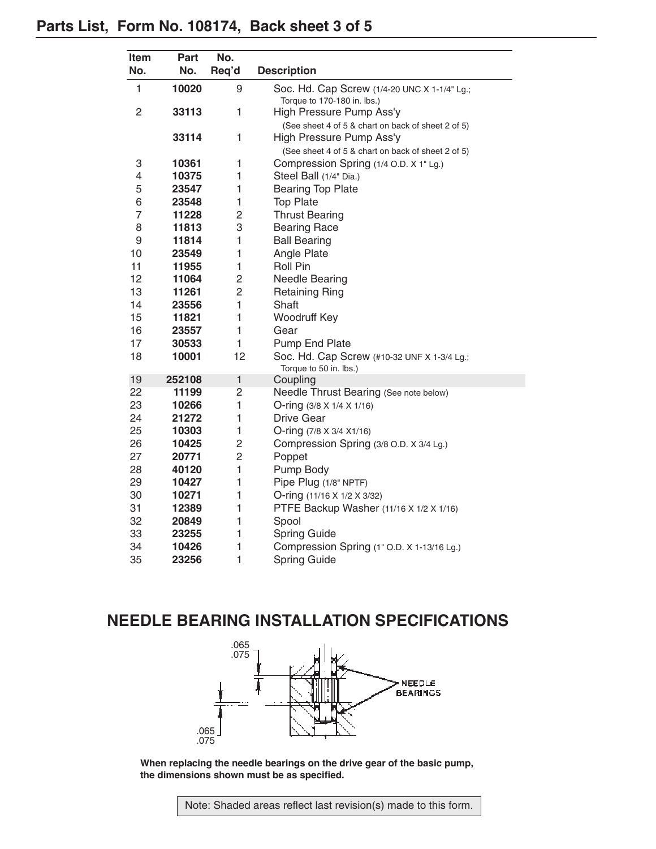# **Parts List, Form No. 108174, Back sheet 3 of 5**

| Item           | Part   | No.            |                                                                             |
|----------------|--------|----------------|-----------------------------------------------------------------------------|
| No.            | No.    | Req'd          | <b>Description</b>                                                          |
| 1              | 10020  | 9              | Soc. Hd. Cap Screw (1/4-20 UNC X 1-1/4" Lg.;<br>Torque to 170-180 in. lbs.) |
| $\overline{c}$ | 33113  | $\mathbf{1}$   | High Pressure Pump Ass'y                                                    |
|                |        |                | (See sheet 4 of 5 & chart on back of sheet 2 of 5)                          |
|                | 33114  | 1              | High Pressure Pump Ass'y                                                    |
|                |        |                | (See sheet 4 of 5 & chart on back of sheet 2 of 5)                          |
| 3              | 10361  | 1              | Compression Spring (1/4 O.D. X 1" Lg.)                                      |
| 4              | 10375  | 1              | Steel Ball (1/4" Dia.)                                                      |
| 5              | 23547  | 1              | <b>Bearing Top Plate</b>                                                    |
| 6              | 23548  | 1              | <b>Top Plate</b>                                                            |
| $\overline{7}$ | 11228  | 2              | <b>Thrust Bearing</b>                                                       |
| 8              | 11813  | 3              | <b>Bearing Race</b>                                                         |
| 9              | 11814  | 1              | <b>Ball Bearing</b>                                                         |
| 10             | 23549  | 1              | Angle Plate                                                                 |
| 11             | 11955  | 1              | <b>Roll Pin</b>                                                             |
| 12             | 11064  | $\overline{c}$ | Needle Bearing                                                              |
| 13             | 11261  | $\overline{2}$ | <b>Retaining Ring</b>                                                       |
| 14             | 23556  | $\mathbf{1}$   | Shaft                                                                       |
| 15             | 11821  | 1              | Woodruff Key                                                                |
| 16             | 23557  | 1              | Gear                                                                        |
| 17             | 30533  | 1              | Pump End Plate                                                              |
| 18             | 10001  | 12             | Soc. Hd. Cap Screw (#10-32 UNF X 1-3/4 Lg.;<br>Torque to 50 in. lbs.)       |
| 19             | 252108 | $\mathbf{1}$   | Coupling                                                                    |
| 22             | 11199  | $\overline{c}$ | Needle Thrust Bearing (See note below)                                      |
| 23             | 10266  | 1              | O-ring $(3/8 \times 1/4 \times 1/16)$                                       |
| 24             | 21272  | 1              | Drive Gear                                                                  |
| 25             | 10303  | 1              | O-ring (7/8 X 3/4 X1/16)                                                    |
| 26             | 10425  | $\overline{c}$ | Compression Spring (3/8 O.D. X 3/4 Lg.)                                     |
| 27             | 20771  | $\overline{c}$ | Poppet                                                                      |
| 28             | 40120  | $\mathbf{1}$   | Pump Body                                                                   |
| 29             | 10427  | 1              | Pipe Plug (1/8" NPTF)                                                       |
| 30             | 10271  | 1              | O-ring (11/16 X 1/2 X 3/32)                                                 |
| 31             | 12389  | 1              | PTFE Backup Washer (11/16 X 1/2 X 1/16)                                     |
| 32             | 20849  | 1              | Spool                                                                       |
| 33             | 23255  | 1              | <b>Spring Guide</b>                                                         |
| 34             | 10426  | $\mathbf{1}$   | Compression Spring (1" O.D. X 1-13/16 Lg.)                                  |
| 35             | 23256  | $\mathbf{1}$   | <b>Spring Guide</b>                                                         |

## **NEEDLE BEARING INSTALLATION SPECIFICATIONS**



**When replacing the needle bearings on the drive gear of the basic pump, the dimensions shown must be as specified.**

Note: Shaded areas reflect last revision(s) made to this form.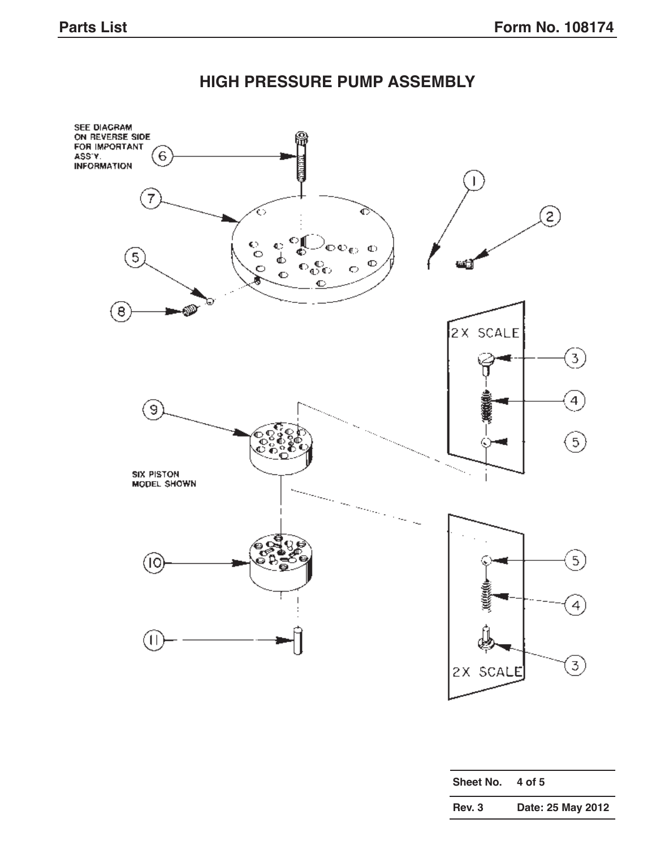# **HIGH PRESSURE PUMP ASSEMBLY**



| Sheet No. | 4 of 5            |
|-----------|-------------------|
| Rev. 3    | Date: 25 May 2012 |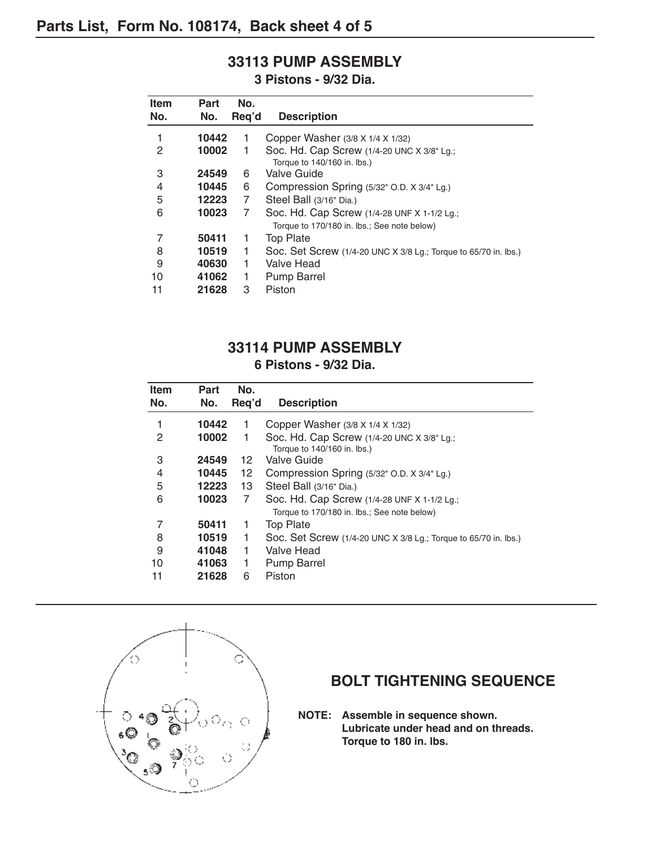# **33113 PUMP ASSEMBLY**

**3 Pistons - 9/32 Dia.**

| <b>Item</b> | Part  | No.   |                                                                 |
|-------------|-------|-------|-----------------------------------------------------------------|
| No.         | No.   | Reg'd | <b>Description</b>                                              |
| 1           | 10442 | 1     | Copper Washer (3/8 X 1/4 X 1/32)                                |
| 2           | 10002 | 1     | Soc. Hd. Cap Screw (1/4-20 UNC X 3/8" Lg.;                      |
|             |       |       | Torque to 140/160 in. lbs.)                                     |
| 3           | 24549 | 6     | Valve Guide                                                     |
| 4           | 10445 | 6     | Compression Spring (5/32" O.D. X 3/4" Lg.)                      |
| 5           | 12223 | 7     | Steel Ball (3/16" Dia.)                                         |
| 6           | 10023 | 7     | Soc. Hd. Cap Screw (1/4-28 UNF X 1-1/2 Lg.;                     |
|             |       |       | Torque to 170/180 in. lbs.; See note below)                     |
| 7           | 50411 | 1     | <b>Top Plate</b>                                                |
| 8           | 10519 | 1     | Soc. Set Screw (1/4-20 UNC X 3/8 Lg.; Torque to 65/70 in. lbs.) |
| 9           | 40630 | 1     | Valve Head                                                      |
| 10          | 41062 | 1     | <b>Pump Barrel</b>                                              |
| 11          | 21628 | 3     | Piston                                                          |

## **33114 PUMP ASSEMBLY**

#### **6 Pistons - 9/32 Dia.**

| <b>Item</b> | Part  | No.             |                                                                 |
|-------------|-------|-----------------|-----------------------------------------------------------------|
| No.         | No.   | Reg'd           | <b>Description</b>                                              |
| 1           | 10442 | 1               | Copper Washer (3/8 X 1/4 X 1/32)                                |
| 2           | 10002 | 1               | Soc. Hd. Cap Screw (1/4-20 UNC X 3/8" Lg.;                      |
|             |       |                 | Torque to 140/160 in. lbs.)                                     |
| 3           | 24549 | 12              | Valve Guide                                                     |
| 4           | 10445 | 12 <sup>2</sup> | Compression Spring (5/32" O.D. X 3/4" Lg.)                      |
| 5           | 12223 | 13              | Steel Ball (3/16" Dia.)                                         |
| 6           | 10023 | 7               | Soc. Hd. Cap Screw (1/4-28 UNF X 1-1/2 Lg.;                     |
|             |       |                 | Torque to 170/180 in. lbs.; See note below)                     |
| 7           | 50411 | 1               | <b>Top Plate</b>                                                |
| 8           | 10519 | 1               | Soc. Set Screw (1/4-20 UNC X 3/8 Lg.; Torque to 65/70 in. lbs.) |
| 9           | 41048 | 1               | Valve Head                                                      |
| 10          | 41063 | 1               | <b>Pump Barrel</b>                                              |
| 11          | 21628 | 6               | Piston                                                          |



### **BOLT TIGHTENING SEQUENCE**

**NOTE: Assemble in sequence shown. Lubricate under head and on threads. Torque to 180 in. lbs.**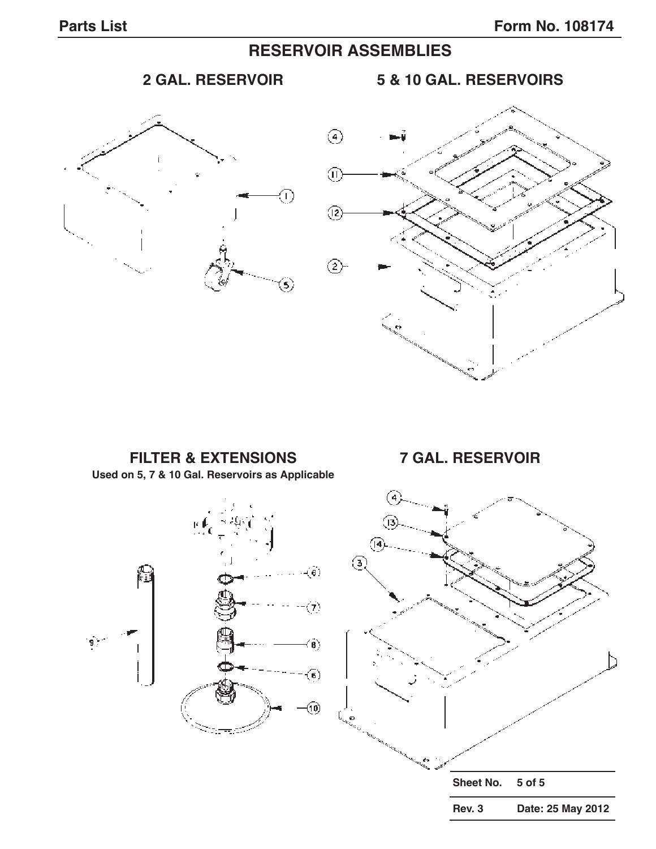# **RESERVOIR ASSEMBLIES**



**2 GAL. RESERVOIR 5 & 10 GAL. RESERVOIRS**



**FILTER & EXTENSIONS 7 GAL. RESERVOIR Used on 5, 7 & 10 Gal. Reservoirs as Applicable** (13  $\sqrt{4}$ ⊛ -(6)  $\langle \tau \rangle$  $\overline{\mathbf{9}}$  .  $\hat{\mathbf{B}}$  $(\mathbf{6})$ 00 **Sheet No. 5 of 5 Rev. 3 Date: 25 May 2012**